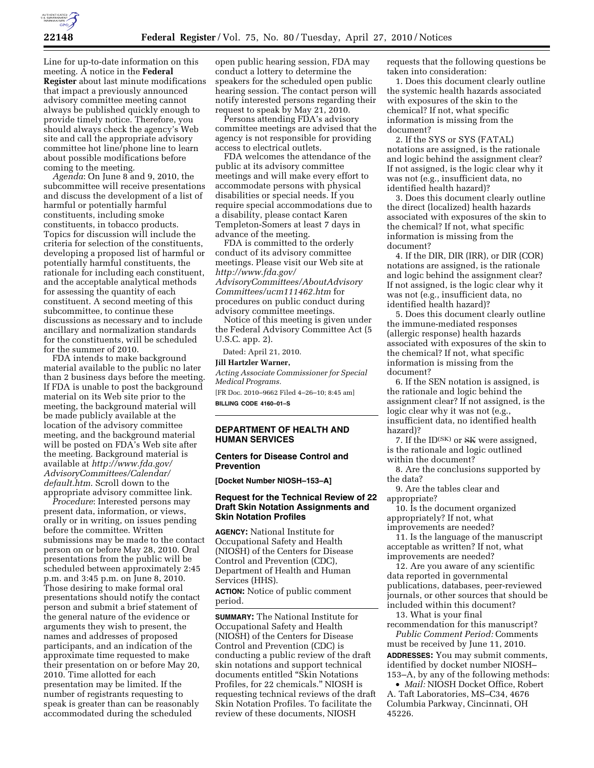

Line for up-to-date information on this meeting. A notice in the **Federal Register** about last minute modifications that impact a previously announced advisory committee meeting cannot always be published quickly enough to provide timely notice. Therefore, you should always check the agency's Web site and call the appropriate advisory committee hot line/phone line to learn about possible modifications before coming to the meeting.

*Agenda*: On June 8 and 9, 2010, the subcommittee will receive presentations and discuss the development of a list of harmful or potentially harmful constituents, including smoke constituents, in tobacco products. Topics for discussion will include the criteria for selection of the constituents, developing a proposed list of harmful or potentially harmful constituents, the rationale for including each constituent, and the acceptable analytical methods for assessing the quantity of each constituent. A second meeting of this subcommittee, to continue these discussions as necessary and to include ancillary and normalization standards for the constituents, will be scheduled for the summer of 2010.

FDA intends to make background material available to the public no later than 2 business days before the meeting. If FDA is unable to post the background material on its Web site prior to the meeting, the background material will be made publicly available at the location of the advisory committee meeting, and the background material will be posted on FDA's Web site after the meeting. Background material is available at *http://www.fda.gov/ AdvisoryCommittees/Calendar/ default.htm*. Scroll down to the appropriate advisory committee link.

*Procedure*: Interested persons may present data, information, or views, orally or in writing, on issues pending before the committee. Written submissions may be made to the contact person on or before May 28, 2010. Oral presentations from the public will be scheduled between approximately 2:45 p.m. and 3:45 p.m. on June 8, 2010. Those desiring to make formal oral presentations should notify the contact person and submit a brief statement of the general nature of the evidence or arguments they wish to present, the names and addresses of proposed participants, and an indication of the approximate time requested to make their presentation on or before May 20, 2010. Time allotted for each presentation may be limited. If the number of registrants requesting to speak is greater than can be reasonably accommodated during the scheduled

open public hearing session, FDA may conduct a lottery to determine the speakers for the scheduled open public hearing session. The contact person will notify interested persons regarding their request to speak by May 21, 2010.

Persons attending FDA's advisory committee meetings are advised that the agency is not responsible for providing access to electrical outlets.

FDA welcomes the attendance of the public at its advisory committee meetings and will make every effort to accommodate persons with physical disabilities or special needs. If you require special accommodations due to a disability, please contact Karen Templeton-Somers at least 7 days in advance of the meeting.

FDA is committed to the orderly conduct of its advisory committee meetings. Please visit our Web site at *http://www.fda.gov/ AdvisoryCommittees/AboutAdvisory Committees/ucm111462.htm* for procedures on public conduct during advisory committee meetings.

Notice of this meeting is given under the Federal Advisory Committee Act (5 U.S.C. app. 2).

Dated: April 21, 2010.

# **Jill Hartzler Warner,**

*Acting Associate Commissioner for Special Medical Programs.* 

[FR Doc. 2010–9662 Filed 4–26–10; 8:45 am] **BILLING CODE 4160–01–S** 

#### **DEPARTMENT OF HEALTH AND HUMAN SERVICES**

#### **Centers for Disease Control and Prevention**

**[Docket Number NIOSH–153–A]** 

## **Request for the Technical Review of 22 Draft Skin Notation Assignments and Skin Notation Profiles**

**AGENCY:** National Institute for Occupational Safety and Health (NIOSH) of the Centers for Disease Control and Prevention (CDC), Department of Health and Human Services (HHS). **ACTION:** Notice of public comment period.

**SUMMARY:** The National Institute for Occupational Safety and Health (NIOSH) of the Centers for Disease Control and Prevention (CDC) is conducting a public review of the draft skin notations and support technical documents entitled "Skin Notations Profiles, for 22 chemicals.'' NIOSH is requesting technical reviews of the draft Skin Notation Profiles. To facilitate the review of these documents, NIOSH

requests that the following questions be taken into consideration:

1. Does this document clearly outline the systemic health hazards associated with exposures of the skin to the chemical? If not, what specific information is missing from the document?

2. If the SYS or SYS (FATAL) notations are assigned, is the rationale and logic behind the assignment clear? If not assigned, is the logic clear why it was not (e.g., insufficient data, no identified health hazard)?

3. Does this document clearly outline the direct (localized) health hazards associated with exposures of the skin to the chemical? If not, what specific information is missing from the document?

4. If the DIR, DIR (IRR), or DIR (COR) notations are assigned, is the rationale and logic behind the assignment clear? If not assigned, is the logic clear why it was not (e.g., insufficient data, no identified health hazard)?

5. Does this document clearly outline the immune-mediated responses (allergic response) health hazards associated with exposures of the skin to the chemical? If not, what specific information is missing from the document?

6. If the SEN notation is assigned, is the rationale and logic behind the assignment clear? If not assigned, is the logic clear why it was not (e.g., insufficient data, no identified health hazard)?

7. If the ID<sup>(SK)</sup> or SK were assigned, is the rationale and logic outlined within the document?

8. Are the conclusions supported by the data?

9. Are the tables clear and appropriate?

10. Is the document organized appropriately? If not, what improvements are needed?

11. Is the language of the manuscript acceptable as written? If not, what improvements are needed?

12. Are you aware of any scientific data reported in governmental publications, databases, peer-reviewed journals, or other sources that should be included within this document?

13. What is your final

recommendation for this manuscript? *Public Comment Period:* Comments must be received by June 11, 2010.

**ADDRESSES:** You may submit comments, identified by docket number NIOSH– 153–A, by any of the following methods:

• *Mail:* NIOSH Docket Office, Robert A. Taft Laboratories, MS–C34, 4676 Columbia Parkway, Cincinnati, OH 45226.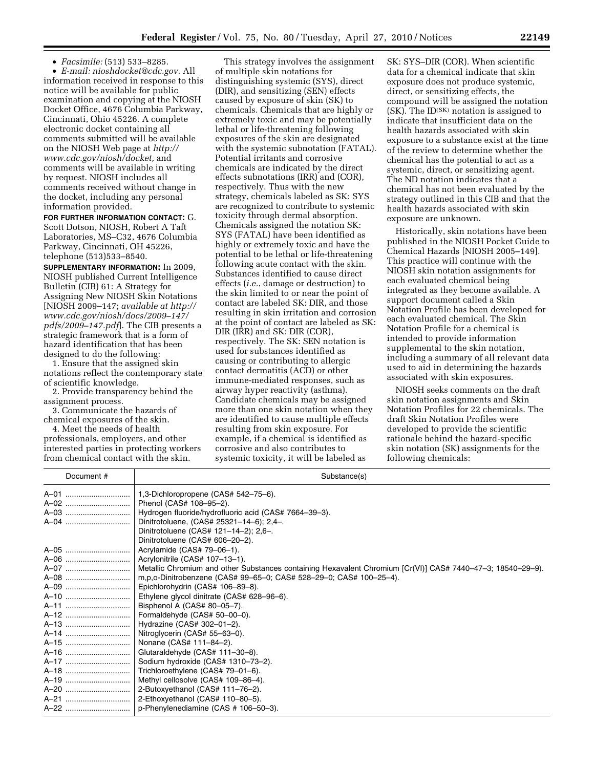• *Facsimile:* (513) 533–8285.

• *E-mail: nioshdocket@cdc.gov.* All information received in response to this notice will be available for public examination and copying at the NIOSH Docket Office, 4676 Columbia Parkway, Cincinnati, Ohio 45226. A complete electronic docket containing all comments submitted will be available on the NIOSH Web page at *http:// www.cdc.gov/niosh/docket,* and comments will be available in writing by request. NIOSH includes all comments received without change in the docket, including any personal information provided.

**FOR FURTHER INFORMATION CONTACT:** G. Scott Dotson, NIOSH, Robert A Taft Laboratories, MS–C32, 4676 Columbia Parkway, Cincinnati, OH 45226, telephone (513)533–8540.

**SUPPLEMENTARY INFORMATION:** In 2009, NIOSH published Current Intelligence Bulletin (CIB) 61: A Strategy for Assigning New NIOSH Skin Notations [NIOSH 2009–147; *available at http:// www.cdc.gov/niosh/docs/2009–147/ pdfs/2009–147.pdf*]. The CIB presents a strategic framework that is a form of hazard identification that has been designed to do the following:

1. Ensure that the assigned skin notations reflect the contemporary state of scientific knowledge.

2. Provide transparency behind the assignment process.

3. Communicate the hazards of chemical exposures of the skin.

4. Meet the needs of health professionals, employers, and other interested parties in protecting workers from chemical contact with the skin.

This strategy involves the assignment of multiple skin notations for distinguishing systemic (SYS), direct (DIR), and sensitizing (SEN) effects caused by exposure of skin (SK) to chemicals. Chemicals that are highly or extremely toxic and may be potentially lethal or life-threatening following exposures of the skin are designated with the systemic subnotation (FATAL). Potential irritants and corrosive chemicals are indicated by the direct effects subnotations (IRR) and (COR), respectively. Thus with the new strategy, chemicals labeled as SK: SYS are recognized to contribute to systemic toxicity through dermal absorption. Chemicals assigned the notation SK: SYS (FATAL) have been identified as highly or extremely toxic and have the potential to be lethal or life-threatening following acute contact with the skin. Substances identified to cause direct effects (*i.e.*, damage or destruction) to the skin limited to or near the point of contact are labeled SK: DIR, and those resulting in skin irritation and corrosion at the point of contact are labeled as SK: DIR (IRR) and SK: DIR (COR), respectively. The SK: SEN notation is used for substances identified as causing or contributing to allergic contact dermatitis (ACD) or other immune-mediated responses, such as airway hyper reactivity (asthma). Candidate chemicals may be assigned more than one skin notation when they are identified to cause multiple effects resulting from skin exposure. For example, if a chemical is identified as corrosive and also contributes to systemic toxicity, it will be labeled as

SK: SYS–DIR (COR). When scientific data for a chemical indicate that skin exposure does not produce systemic, direct, or sensitizing effects, the compound will be assigned the notation (SK). The ID(SK) notation is assigned to indicate that insufficient data on the health hazards associated with skin exposure to a substance exist at the time of the review to determine whether the chemical has the potential to act as a systemic, direct, or sensitizing agent. The ND notation indicates that a chemical has not been evaluated by the strategy outlined in this CIB and that the health hazards associated with skin exposure are unknown.

Historically, skin notations have been published in the NIOSH Pocket Guide to Chemical Hazards [NIOSH 2005–149]. This practice will continue with the NIOSH skin notation assignments for each evaluated chemical being integrated as they become available. A support document called a Skin Notation Profile has been developed for each evaluated chemical. The Skin Notation Profile for a chemical is intended to provide information supplemental to the skin notation, including a summary of all relevant data used to aid in determining the hazards associated with skin exposures.

NIOSH seeks comments on the draft skin notation assignments and Skin Notation Profiles for 22 chemicals. The draft Skin Notation Profiles were developed to provide the scientific rationale behind the hazard-specific skin notation (SK) assignments for the following chemicals:

| Document # | Substance(s)                                                                                                |
|------------|-------------------------------------------------------------------------------------------------------------|
| A-01       | 1,3-Dichloropropene (CAS# 542-75-6).                                                                        |
| A-02       | Phenol (CAS# 108-95-2).                                                                                     |
| A-03       | Hydrogen fluoride/hydrofluoric acid (CAS# 7664-39-3).                                                       |
| A-04       | Dinitrotoluene, (CAS# 25321-14-6); 2,4-.                                                                    |
|            | Dinitrotoluene (CAS# 121-14-2); 2,6-.                                                                       |
|            | Dinitrotoluene (CAS# 606-20-2).                                                                             |
| A-05       | Acrylamide (CAS# 79-06-1).                                                                                  |
| A-06       | Acrylonitrile (CAS# 107-13-1).                                                                              |
|            | Metallic Chromium and other Substances containing Hexavalent Chromium [Cr(VI)] CAS# 7440-47-3; 18540-29-9). |
| A-08       | m, p, o-Dinitrobenzene (CAS# 99-65-0; CAS# 528-29-0; CAS# 100-25-4).                                        |
| A-09       | Epichlorohydrin (CAS# 106-89-8).                                                                            |
| A-10       | Ethylene glycol dinitrate (CAS# 628-96-6).                                                                  |
| A-11       | Bisphenol A (CAS# 80-05-7).                                                                                 |
| A-12       | Formaldehyde (CAS# 50-00-0).                                                                                |
| A-13       | Hydrazine (CAS# 302-01-2).                                                                                  |
| A-14       | Nitroglycerin (CAS# 55-63-0).                                                                               |
| A-15       | Nonane (CAS# 111-84-2).                                                                                     |
| A-16       | Glutaraldehyde (CAS# 111-30-8).                                                                             |
| A-17       | Sodium hydroxide (CAS# 1310-73-2).                                                                          |
| A-18       | Trichloroethylene (CAS# 79-01-6).                                                                           |
| A-19       | Methyl cellosolve (CAS# 109-86-4).                                                                          |
| A-20       | 2-Butoxyethanol (CAS# 111-76-2).                                                                            |
| A-21       | 2-Ethoxyethanol (CAS# 110-80-5).                                                                            |
| A-22       | p-Phenylenediamine (CAS # 106-50-3).                                                                        |